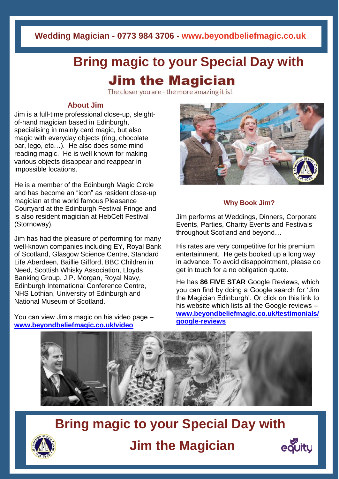**Wedding Magician - 0773 984 3706 - www.beyondbeliefmagic.co.uk**

# **Bring magic to your Special Day with Jim the Magician**

The closer you are - the more amazing it is!

### **About Jim**

Jim is a full-time professional close-up, sleightof-hand magician based in Edinburgh, specialising in mainly card magic, but also magic with everyday objects (ring, chocolate bar, lego, etc…). He also does some mind reading magic. He is well known for making various objects disappear and reappear in impossible locations.

He is a member of the Edinburgh Magic Circle and has become an "icon" as resident close-up magician at the world famous Pleasance Courtyard at the Edinburgh Festival Fringe and is also resident magician at HebCelt Festival (Stornoway).

Jim has had the pleasure of performing for many well-known companies including EY, Royal Bank of Scotland, Glasgow Science Centre, Standard Life Aberdeen, Baillie Gifford, BBC Children in Need, Scottish Whisky Association, Lloyds Banking Group, J.P. Morgan, Royal Navy, Edinburgh International Conference Centre, NHS Lothian, University of Edinburgh and National Museum of Scotland.

You can view Jim's magic on his video page – **[www.beyondbeliefmagic.co.uk/video](http://www.beyondbeliefmagic.co.uk/video)**



#### **Why Book Jim?**

Jim performs at Weddings, Dinners, Corporate Events, Parties, Charity Events and Festivals throughout Scotland and beyond…

His rates are very competitive for his premium entertainment. He gets booked up a long way in advance. To avoid disappointment, please do get in touch for a no obligation quote.

He has **86 FIVE STAR** Google Reviews, which you can find by doing a Google search for 'Jim the Magician Edinburgh'. Or click on this link to his website which lists all the Google reviews – **[www.beyondbeliefmagic.co.uk/testimonials/](http://www.beyondbeliefmagic.co.uk/testimonials/google-reviews) [google-reviews](http://www.beyondbeliefmagic.co.uk/testimonials/google-reviews)**





**Jim the Magician**

**Bring magic to your Special Day with**